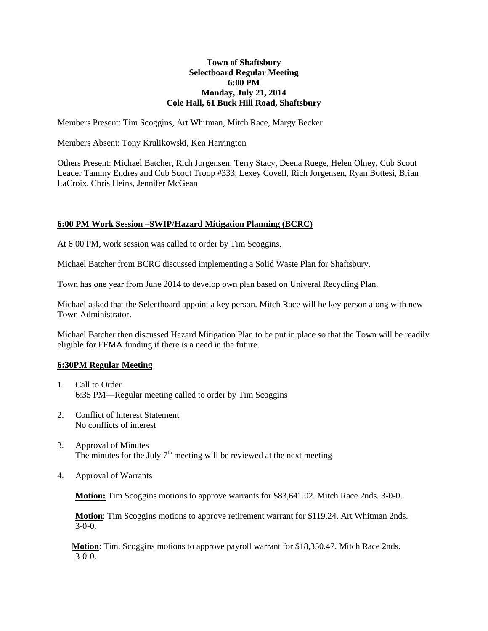## **Town of Shaftsbury Selectboard Regular Meeting 6:00 PM Monday, July 21, 2014 Cole Hall, 61 Buck Hill Road, Shaftsbury**

Members Present: Tim Scoggins, Art Whitman, Mitch Race, Margy Becker

Members Absent: Tony Krulikowski, Ken Harrington

Others Present: Michael Batcher, Rich Jorgensen, Terry Stacy, Deena Ruege, Helen Olney, Cub Scout Leader Tammy Endres and Cub Scout Troop #333, Lexey Covell, Rich Jorgensen, Ryan Bottesi, Brian LaCroix, Chris Heins, Jennifer McGean

## **6:00 PM Work Session –SWIP/Hazard Mitigation Planning (BCRC)**

At 6:00 PM, work session was called to order by Tim Scoggins.

Michael Batcher from BCRC discussed implementing a Solid Waste Plan for Shaftsbury.

Town has one year from June 2014 to develop own plan based on Univeral Recycling Plan.

Michael asked that the Selectboard appoint a key person. Mitch Race will be key person along with new Town Administrator.

Michael Batcher then discussed Hazard Mitigation Plan to be put in place so that the Town will be readily eligible for FEMA funding if there is a need in the future.

## **6:30PM Regular Meeting**

- 1. Call to Order 6:35 PM—Regular meeting called to order by Tim Scoggins
- 2. Conflict of Interest Statement No conflicts of interest
- 3. Approval of Minutes The minutes for the July  $7<sup>th</sup>$  meeting will be reviewed at the next meeting
- 4. Approval of Warrants

**Motion:** Tim Scoggins motions to approve warrants for \$83,641.02. Mitch Race 2nds. 3-0-0.

**Motion**: Tim Scoggins motions to approve retirement warrant for \$119.24. Art Whitman 2nds.  $\overline{3-0-0}$ .

**Motion**: Tim. Scoggins motions to approve payroll warrant for \$18,350.47. Mitch Race 2nds. 3-0-0.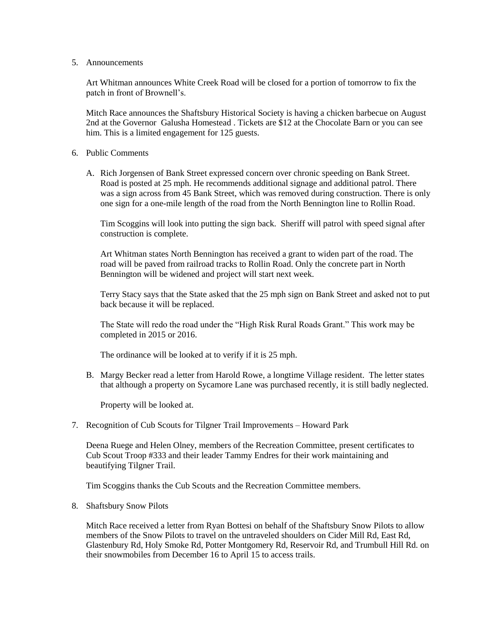5. Announcements

Art Whitman announces White Creek Road will be closed for a portion of tomorrow to fix the patch in front of Brownell's.

Mitch Race announces the Shaftsbury Historical Society is having a chicken barbecue on August 2nd at the Governor Galusha Homestead . Tickets are \$12 at the Chocolate Barn or you can see him. This is a limited engagement for 125 guests.

- 6. Public Comments
	- A. Rich Jorgensen of Bank Street expressed concern over chronic speeding on Bank Street. Road is posted at 25 mph. He recommends additional signage and additional patrol. There was a sign across from 45 Bank Street, which was removed during construction. There is only one sign for a one-mile length of the road from the North Bennington line to Rollin Road.

Tim Scoggins will look into putting the sign back. Sheriff will patrol with speed signal after construction is complete.

Art Whitman states North Bennington has received a grant to widen part of the road. The road will be paved from railroad tracks to Rollin Road. Only the concrete part in North Bennington will be widened and project will start next week.

Terry Stacy says that the State asked that the 25 mph sign on Bank Street and asked not to put back because it will be replaced.

The State will redo the road under the "High Risk Rural Roads Grant." This work may be completed in 2015 or 2016.

The ordinance will be looked at to verify if it is 25 mph.

B. Margy Becker read a letter from Harold Rowe, a longtime Village resident. The letter states that although a property on Sycamore Lane was purchased recently, it is still badly neglected.

Property will be looked at.

7. Recognition of Cub Scouts for Tilgner Trail Improvements – Howard Park

Deena Ruege and Helen Olney, members of the Recreation Committee, present certificates to Cub Scout Troop #333 and their leader Tammy Endres for their work maintaining and beautifying Tilgner Trail.

Tim Scoggins thanks the Cub Scouts and the Recreation Committee members.

8. Shaftsbury Snow Pilots

Mitch Race received a letter from Ryan Bottesi on behalf of the Shaftsbury Snow Pilots to allow members of the Snow Pilots to travel on the untraveled shoulders on Cider Mill Rd, East Rd, Glastenbury Rd, Holy Smoke Rd, Potter Montgomery Rd, Reservoir Rd, and Trumbull Hill Rd. on their snowmobiles from December 16 to April 15 to access trails.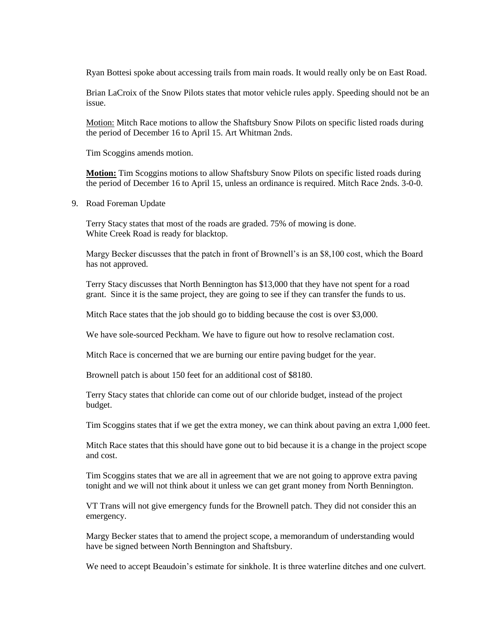Ryan Bottesi spoke about accessing trails from main roads. It would really only be on East Road.

Brian LaCroix of the Snow Pilots states that motor vehicle rules apply. Speeding should not be an issue.

Motion: Mitch Race motions to allow the Shaftsbury Snow Pilots on specific listed roads during the period of December 16 to April 15. Art Whitman 2nds.

Tim Scoggins amends motion.

**Motion:** Tim Scoggins motions to allow Shaftsbury Snow Pilots on specific listed roads during the period of December 16 to April 15, unless an ordinance is required. Mitch Race 2nds. 3-0-0.

9. Road Foreman Update

Terry Stacy states that most of the roads are graded. 75% of mowing is done. White Creek Road is ready for blacktop.

Margy Becker discusses that the patch in front of Brownell's is an \$8,100 cost, which the Board has not approved.

Terry Stacy discusses that North Bennington has \$13,000 that they have not spent for a road grant. Since it is the same project, they are going to see if they can transfer the funds to us.

Mitch Race states that the job should go to bidding because the cost is over \$3,000.

We have sole-sourced Peckham. We have to figure out how to resolve reclamation cost.

Mitch Race is concerned that we are burning our entire paving budget for the year.

Brownell patch is about 150 feet for an additional cost of \$8180.

Terry Stacy states that chloride can come out of our chloride budget, instead of the project budget.

Tim Scoggins states that if we get the extra money, we can think about paving an extra 1,000 feet.

Mitch Race states that this should have gone out to bid because it is a change in the project scope and cost.

Tim Scoggins states that we are all in agreement that we are not going to approve extra paving tonight and we will not think about it unless we can get grant money from North Bennington.

VT Trans will not give emergency funds for the Brownell patch. They did not consider this an emergency.

Margy Becker states that to amend the project scope, a memorandum of understanding would have be signed between North Bennington and Shaftsbury.

We need to accept Beaudoin's estimate for sinkhole. It is three waterline ditches and one culvert.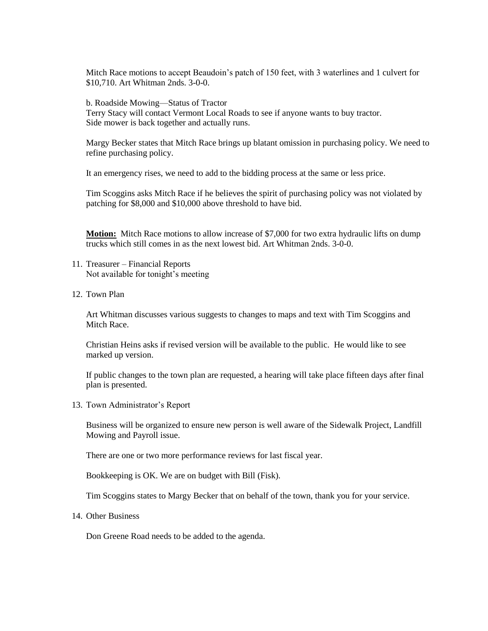Mitch Race motions to accept Beaudoin's patch of 150 feet, with 3 waterlines and 1 culvert for \$10,710. Art Whitman 2nds. 3-0-0.

b. Roadside Mowing—Status of Tractor Terry Stacy will contact Vermont Local Roads to see if anyone wants to buy tractor. Side mower is back together and actually runs.

Margy Becker states that Mitch Race brings up blatant omission in purchasing policy. We need to refine purchasing policy.

It an emergency rises, we need to add to the bidding process at the same or less price.

Tim Scoggins asks Mitch Race if he believes the spirit of purchasing policy was not violated by patching for \$8,000 and \$10,000 above threshold to have bid.

**Motion:** Mitch Race motions to allow increase of \$7,000 for two extra hydraulic lifts on dump trucks which still comes in as the next lowest bid. Art Whitman 2nds. 3-0-0.

- 11. Treasurer Financial Reports Not available for tonight's meeting
- 12. Town Plan

Art Whitman discusses various suggests to changes to maps and text with Tim Scoggins and Mitch Race.

Christian Heins asks if revised version will be available to the public. He would like to see marked up version.

If public changes to the town plan are requested, a hearing will take place fifteen days after final plan is presented.

13. Town Administrator's Report

Business will be organized to ensure new person is well aware of the Sidewalk Project, Landfill Mowing and Payroll issue.

There are one or two more performance reviews for last fiscal year.

Bookkeeping is OK. We are on budget with Bill (Fisk).

Tim Scoggins states to Margy Becker that on behalf of the town, thank you for your service.

14. Other Business

Don Greene Road needs to be added to the agenda.